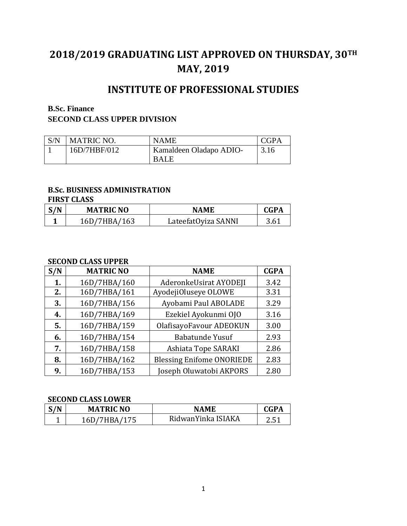# **2018/2019 GRADUATING LIST APPROVED ON THURSDAY, 30TH MAY, 2019**

# **INSTITUTE OF PROFESSIONAL STUDIES**

## **B.Sc. Finance**

# **SECOND CLASS UPPER DIVISION**

| S/N | <b>MATRIC NO.</b> | <b>NAME</b>             | CGPA |
|-----|-------------------|-------------------------|------|
|     | 16D/7HBF/012      | Kamaldeen Oladapo ADIO- | 3.16 |
|     |                   | <b>BALE</b>             |      |

### **B.Sc. BUSINESS ADMINISTRATION**

#### **FIRST CLASS**

| S/N | <b>MATRIC NO</b> | NAME                | CGPA |
|-----|------------------|---------------------|------|
|     | 16D/7HBA/163     | LateefatOyiza SANNI | 3.61 |

#### **SECOND CLASS UPPER**

| S/N | <b>MATRIC NO</b> | <b>NAME</b>                      | <b>CGPA</b> |
|-----|------------------|----------------------------------|-------------|
| 1.  | 16D/7HBA/160     | AderonkeUsirat AYODEJI           | 3.42        |
| 2.  | 16D/7HBA/161     | AyodejiOluseye OLOWE             | 3.31        |
| 3.  | 16D/7HBA/156     | Ayobami Paul ABOLADE             | 3.29        |
| 4.  | 16D/7HBA/169     | Ezekiel Ayokunmi OJO             | 3.16        |
| 5.  | 16D/7HBA/159     | OlafisayoFavour ADEOKUN          | 3.00        |
| 6.  | 16D/7HBA/154     | <b>Babatunde Yusuf</b>           | 2.93        |
| 7.  | 16D/7HBA/158     | Ashiata Tope SARAKI              | 2.86        |
| 8.  | 16D/7HBA/162     | <b>Blessing Enifome ONORIEDE</b> | 2.83        |
| 9.  | 16D/7HBA/153     | Joseph Oluwatobi AKPORS          | 2.80        |

#### **SECOND CLASS LOWER**

| $\mathcal{N}$ | <b>MATRIC NO</b>  | <b>NAMF</b>        | ~GPA        |
|---------------|-------------------|--------------------|-------------|
| <b>.</b>      | IRA / 175<br>16D/ | RidwanYinka ISIAKA | つ に1<br>ر.ر |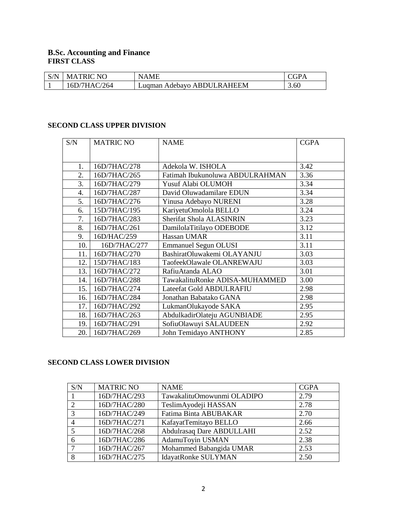#### **B.Sc. Accounting and Finance FIRST CLASS**

| S/N | <b>MATRIC NO</b> | NAME                       |      |
|-----|------------------|----------------------------|------|
|     | 16D/7HAC/264     | Lugman Adebayo ABDULRAHEEM | 3.60 |

# **SECOND CLASS UPPER DIVISION**

| S/N | <b>MATRIC NO</b> | <b>NAME</b>                     | <b>CGPA</b> |
|-----|------------------|---------------------------------|-------------|
|     |                  |                                 |             |
|     |                  |                                 |             |
| 1.  | 16D/7HAC/278     | Adekola W. ISHOLA               | 3.42        |
| 2.  | 16D/7HAC/265     | Fatimah Ibukunoluwa ABDULRAHMAN | 3.36        |
| 3.  | 16D/7HAC/279     | Yusuf Alabi OLUMOH              | 3.34        |
| 4.  | 16D/7HAC/287     | David Oluwadamilare EDUN        | 3.34        |
| 5.  | 16D/7HAC/276     | Yinusa Adebayo NURENI           | 3.28        |
| 6.  | 15D/7HAC/195     | KariyetuOmolola BELLO           | 3.24        |
| 7.  | 16D/7HAC/283     | Sherifat Shola ALASINRIN        | 3.23        |
| 8.  | 16D/7HAC/261     | DamilolaTitilayo ODEBODE        | 3.12        |
| 9.  | 16D/HAC/259      | Hassan UMAR                     | 3.11        |
| 10. | 16D/7HAC/277     | <b>Emmanuel Segun OLUSI</b>     | 3.11        |
| 11. | 16D/7HAC/270     | BashiratOluwakemi OLAYANJU      | 3.03        |
| 12. | 15D/7HAC/183     | TaofeekOlawale OLANREWAJU       | 3.03        |
| 13. | 16D/7HAC/272     | RafiuAtanda ALAO                | 3.01        |
| 14. | 16D/7HAC/288     | TawakalituRonke ADISA-MUHAMMED  | 3.00        |
| 15. | 16D/7HAC/274     | Lateefat Gold ABDULRAFIU        | 2.98        |
| 16. | 16D/7HAC/284     | Jonathan Babatako GANA          | 2.98        |
| 17. | 16D/7HAC/292     | LukmanOlukayode SAKA            | 2.95        |
| 18. | 16D/7HAC/263     | AbdulkadirOlateju AGUNBIADE     | 2.95        |
| 19. | 16D/7HAC/291     | SofiuOlawuyi SALAUDEEN          | 2.92        |
| 20. | 16D/7HAC/269     | John Temidayo ANTHONY           | 2.85        |

#### **SECOND CLASS LOWER DIVISION**

| S/N        | <b>MATRIC NO</b> | <b>NAME</b>                | <b>CGPA</b> |
|------------|------------------|----------------------------|-------------|
|            | 16D/7HAC/293     | TawakalituOmowunmi OLADIPO | 2.79        |
| $\bigcirc$ | 16D/7HAC/280     | TeslimAyodeji HASSAN       | 2.78        |
| 3          | 16D/7HAC/249     | Fatima Binta ABUBAKAR      | 2.70        |
|            | 16D/7HAC/271     | KafayatTemitayo BELLO      | 2.66        |
|            | 16D/7HAC/268     | Abdulrasaq Dare ABDULLAHI  | 2.52        |
|            | 16D/7HAC/286     | AdamuToyin USMAN           | 2.38        |
|            | 16D/7HAC/267     | Mohammed Babangida UMAR    | 2.53        |
| 8          | 16D/7HAC/275     | <b>IdayatRonke SULYMAN</b> | 2.50        |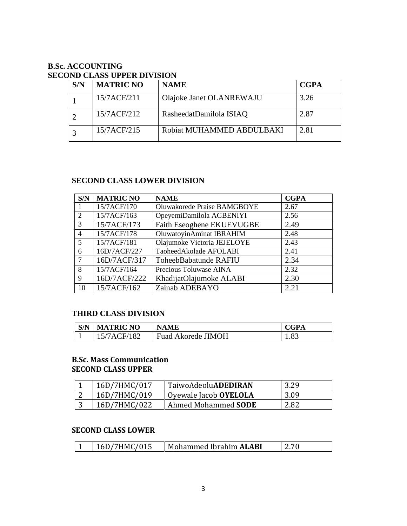# **B.Sc. ACCOUNTING SECOND CLASS UPPER DIVISION**

| S/N | <b>MATRIC NO</b> | <b>NAME</b>               | <b>CGPA</b> |
|-----|------------------|---------------------------|-------------|
|     | 15/7ACF/211      | Olajoke Janet OLANREWAJU  | 3.26        |
|     | 15/7ACF/212      | RasheedatDamilola ISIAQ   | 2.87        |
|     | 15/7ACF/215      | Robiat MUHAMMED ABDULBAKI | 2.81        |

# **SECOND CLASS LOWER DIVISION**

| S/N                         | <b>MATRIC NO</b> | <b>NAME</b>                 | <b>CGPA</b> |
|-----------------------------|------------------|-----------------------------|-------------|
|                             | 15/7ACF/170      | Oluwakorede Praise BAMGBOYE | 2.67        |
| $\mathcal{D}_{\mathcal{L}}$ | 15/7ACF/163      | OpeyemiDamilola AGBENIYI    | 2.56        |
| 3                           | 15/7ACF/173      | Faith Eseoghene EKUEVUGBE   | 2.49        |
| $\overline{4}$              | 15/7ACF/178      | OluwatoyinAminat IBRAHIM    | 2.48        |
| $\overline{\mathbf{5}}$     | 15/7ACF/181      | Olajumoke Victoria JEJELOYE | 2.43        |
| 6                           | 16D/7ACF/227     | TaoheedAkolade AFOLABI      | 2.41        |
|                             | 16D/7ACF/317     | ToheebBabatunde RAFIU       | 2.34        |
| 8                           | 15/7ACF/164      | Precious Toluwase AINA      | 2.32        |
| $\mathbf Q$                 | 16D/7ACF/222     | KhadijatOlajumoke ALABI     | 2.30        |
| 10                          | 15/7ACF/162      | Zainab ADEBAYO              | 2.21        |

## **THIRD CLASS DIVISION**

| S/N | <b>MATRIC NO</b> | <b>NAME</b>        | <b>CGPA</b> |
|-----|------------------|--------------------|-------------|
|     | 15/7ACF/182      | Fuad Akorede JIMOH | 1.83        |

### **B.Sc. Mass Communication SECOND CLASS UPPER**

| 16D/7HMC/017 | TaiwoAdeoluADEDIRAN   | 3.29 |
|--------------|-----------------------|------|
| 16D/7HMC/019 | Oyewale Jacob OYELOLA | 3.09 |
| 16D/7HMC/022 | Ahmed Mohammed SODE   | 2.82 |

### **SECOND CLASS LOWER**

| 16D/7HMC/015<br>Mohammed Ibrahim <b>ALABI</b> |  |
|-----------------------------------------------|--|
|-----------------------------------------------|--|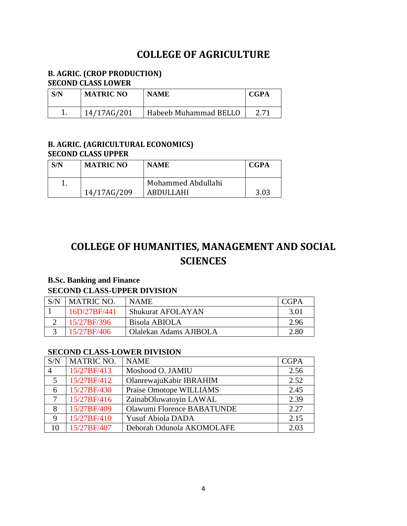# **COLLEGE OF AGRICULTURE**

## **B. AGRIC. (CROP PRODUCTION) SECOND CLASS LOWER**

| S/N | <b>MATRIC NO</b> | <b>NAME</b>           | <b>CGPA</b> |
|-----|------------------|-----------------------|-------------|
|     | 14/17AG/201      | Habeeb Muhammad BELLO |             |

## **B. AGRIC. (AGRICULTURAL ECONOMICS) SECOND CLASS UPPER**

| S/N | <b>MATRIC NO</b> | <b>NAME</b>        | CGPA |
|-----|------------------|--------------------|------|
|     |                  | Mohammed Abdullahi |      |
|     | 14/17AG/209      | ABDULLAHI          | 3.03 |

# **COLLEGE OF HUMANITIES, MANAGEMENT AND SOCIAL SCIENCES**

# **B.Sc. Banking and Finance**

## **SECOND CLASS-UPPER DIVISION**

| S/N | <b>MATRIC NO.</b> | <b>NAME</b>              | CGPA |
|-----|-------------------|--------------------------|------|
|     | 16D/27BF/441      | <b>Shukurat AFOLAYAN</b> | 3.01 |
|     | 15/27BF/396       | Bisola ABIOLA            | 2.96 |
|     | 15/27BF/406       | Olalekan Adams AJIBOLA   | 2.80 |

### **SECOND CLASS-LOWER DIVISION**

| S/N         | <b>MATRIC NO.</b> | <b>NAME</b>                | <b>CGPA</b> |
|-------------|-------------------|----------------------------|-------------|
|             | 15/27BF/413       | Moshood O. JAMIU           | 2.56        |
| 5           | 15/27BF/412       | OlanrewajuKabir IBRAHIM    | 2.52        |
| 6           | 15/27BF/430       | Praise Omotope WILLIAMS    | 2.45        |
| 7           | 15/27BF/416       | ZainabOluwatoyin LAWAL     | 2.39        |
| 8           | 15/27BF/409       | Olawumi Florence BABATUNDE | 2.27        |
| $\mathbf Q$ | 15/27BF/410       | <b>Yusuf Abiola DADA</b>   | 2.15        |
| 10          | 15/27BF/407       | Deborah Odunola AKOMOLAFE  | 2.03        |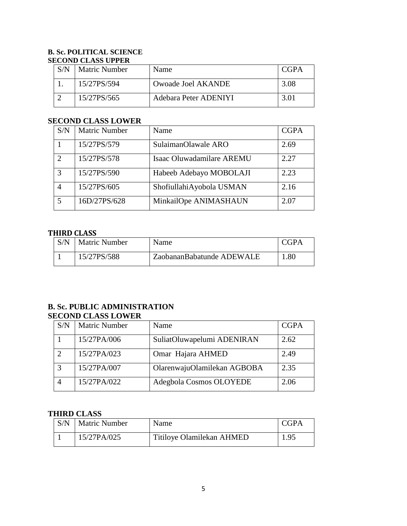#### **B. Sc. POLITICAL SCIENCE SECOND CLASS UPPER**

| S/N | <b>Matric Number</b> | Name                  | CGPA |  |
|-----|----------------------|-----------------------|------|--|
|     | 15/27PS/594          | Owoade Joel AKANDE    | 3.08 |  |
|     | 15/27PS/565          | Adebara Peter ADENIYI |      |  |

## **SECOND CLASS LOWER**

| S/N                         | <b>Matric Number</b> | Name                      | <b>CGPA</b> |
|-----------------------------|----------------------|---------------------------|-------------|
|                             | 15/27PS/579          | SulaimanOlawale ARO       | 2.69        |
| $\mathcal{D}_{\mathcal{L}}$ | 15/27PS/578          | Isaac Oluwadamilare AREMU | 2.27        |
| $\mathcal{R}$               | 15/27PS/590          | Habeeb Adebayo MOBOLAJI   | 2.23        |
|                             | 15/27PS/605          | ShofiullahiAyobola USMAN  | 2.16        |
|                             | 16D/27PS/628         | MinkailOpe ANIMASHAUN     | 2.07        |

## **THIRD CLASS**

| S/N | <b>Matric Number</b> | Name                      | CGPA |
|-----|----------------------|---------------------------|------|
|     | 15/27PS/588          | ZaobananBabatunde ADEWALE | .80  |

## **B. Sc. PUBLIC ADMINISTRATION SECOND CLASS LOWER**

| S/N | <b>Matric Number</b> | Name                        | <b>CGPA</b> |
|-----|----------------------|-----------------------------|-------------|
|     | 15/27PA/006          | SuliatOluwapelumi ADENIRAN  | 2.62        |
|     | 15/27PA/023          | Omar Hajara AHMED           | 2.49        |
|     | 15/27PA/007          | OlarenwajuOlamilekan AGBOBA | 2.35        |
|     | 15/27PA/022          | Adegbola Cosmos OLOYEDE     | 2.06        |

# **THIRD CLASS**

| S/N | <b>Matric Number</b> | Name                      | <b>CGPA</b> |
|-----|----------------------|---------------------------|-------------|
|     | 15/27PA/025          | Titiloye Olamilekan AHMED | 1.95        |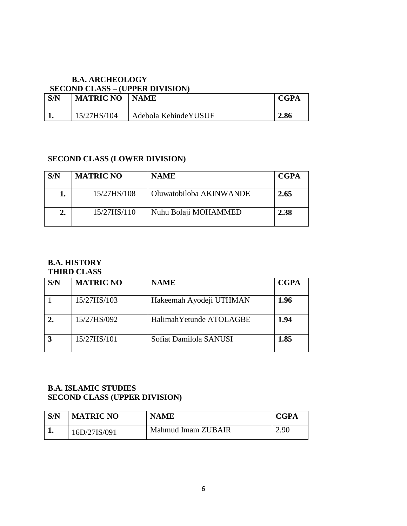### **B.A. ARCHEOLOGY SECOND CLASS – (UPPER DIVISION)**

| S/N | <b>MATRIC NO</b> | <b>NAME</b>           | <b>CGPA</b> |
|-----|------------------|-----------------------|-------------|
|     | 15/27HS/104      | Adebola Kehinde YUSUF | 2.86        |

# **SECOND CLASS (LOWER DIVISION)**

| S/N | <b>MATRIC NO</b> | <b>NAME</b>             | <b>CGPA</b> |
|-----|------------------|-------------------------|-------------|
|     | 15/27HS/108      | Oluwatobiloba AKINWANDE | 2.65        |
|     | 15/27HS/110      | Nuhu Bolaji MOHAMMED    | 2.38        |

# **B.A. HISTORY**

# **THIRD CLASS**

| S/N | <b>MATRIC NO</b> | <b>NAME</b>              | <b>CGPA</b> |
|-----|------------------|--------------------------|-------------|
|     | 15/27HS/103      | Hakeemah Ayodeji UTHMAN  | 1.96        |
|     | 15/27HS/092      | Halimah Yetunde ATOLAGBE | 1.94        |
|     | 15/27HS/101      | Sofiat Damilola SANUSI   | 1.85        |

# **B.A. ISLAMIC STUDIES SECOND CLASS (UPPER DIVISION)**

| S/N | <b>MATRIC NO</b> | <b>NAME</b>        | <b>CGPA</b> |
|-----|------------------|--------------------|-------------|
|     | 16D/27IS/091     | Mahmud Imam ZUBAIR | 2.90        |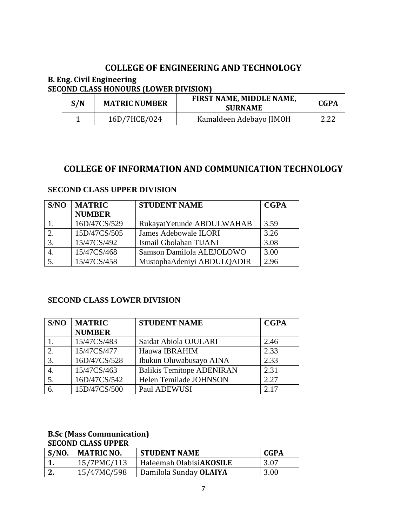# **COLLEGE OF ENGINEERING AND TECHNOLOGY**

### **B. Eng. Civil Engineering SECOND CLASS HONOURS (LOWER DIVISION)**

| S/N | <b>MATRIC NUMBER</b> | FIRST NAME, MIDDLE NAME,<br><b>SURNAME</b> | <b>CGPA</b> |
|-----|----------------------|--------------------------------------------|-------------|
|     | 16D/7HCE/024         | Kamaldeen Adebayo JIMOH                    | 2.22        |

# **COLLEGE OF INFORMATION AND COMMUNICATION TECHNOLOGY**

| S/NO | <b>MATRIC</b> | <b>STUDENT NAME</b>          | <b>CGPA</b> |
|------|---------------|------------------------------|-------------|
|      | <b>NUMBER</b> |                              |             |
|      | 16D/47CS/529  | Rukayat Yetunde ABDULWAHAB   | 3.59        |
|      | 15D/47CS/505  | <b>James Adebowale ILORI</b> | 3.26        |
|      | 15/47CS/492   | Ismail Gbolahan TIJANI       | 3.08        |
|      | 15/47CS/468   | Samson Damilola ALEJOLOWO    | 3.00        |
|      | 15/47CS/458   | MustophaAdeniyi ABDULQADIR   | 2.96        |

### **SECOND CLASS UPPER DIVISION**

# **SECOND CLASS LOWER DIVISION**

| S/NO | <b>MATRIC</b> | <b>STUDENT NAME</b>              | <b>CGPA</b> |
|------|---------------|----------------------------------|-------------|
|      | <b>NUMBER</b> |                                  |             |
|      | 15/47CS/483   | Saidat Abiola OJULARI            | 2.46        |
| 2.   | 15/47CS/477   | Hauwa IBRAHIM                    | 2.33        |
| 3.   | 16D/47CS/528  | Ibukun Oluwabusayo AINA          | 2.33        |
|      | 15/47CS/463   | <b>Balikis Temitope ADENIRAN</b> | 2.31        |
| 5.   | 16D/47CS/542  | Helen Temilade JOHNSON           | 2.27        |
| 6.   | 15D/47CS/500  | Paul ADEWUSI                     | 2.17        |

#### **B.Sc (Mass Communication) SECOND CLASS UPPER**

| S/NO. | MATRIC NO.  | <b>STUDENT NAME</b>     | <b>CGPA</b> |
|-------|-------------|-------------------------|-------------|
|       | 15/7PMC/113 | Haleemah OlabisiAKOSILE | 3.07        |
| ⊷.    | 15/47MC/598 | Damilola Sunday OLAIYA  | 3.00        |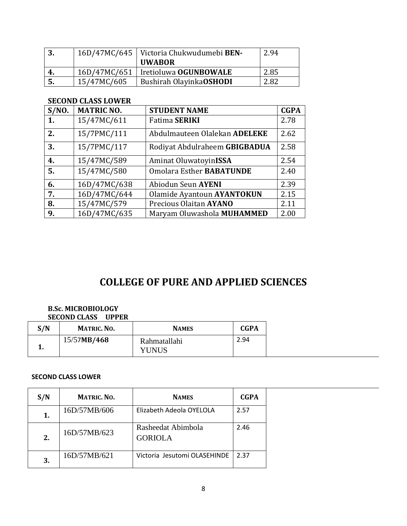|    |             | 16D/47MC/645   Victoria Chukwudumebi BEN-<br><b>UWABOR</b> | 2.94 |
|----|-------------|------------------------------------------------------------|------|
| 4. |             | 16D/47MC/651   Iretioluwa OGUNBOWALE                       | 2.85 |
| 5. | 15/47MC/605 | Bushirah OlayinkaOSHODI                                    | 2.82 |

## **SECOND CLASS LOWER**

| S/NO. | <b>MATRIC NO.</b> | <b>STUDENT NAME</b>             | <b>CGPA</b> |
|-------|-------------------|---------------------------------|-------------|
| 1.    | 15/47MC/611       | <b>Fatima SERIKI</b>            | 2.78        |
| 2.    | 15/7PMC/111       | Abdulmauteen Olalekan ADELEKE   | 2.62        |
| 3.    | 15/7PMC/117       | Rodiyat Abdulraheem GBIGBADUA   | 2.58        |
| 4.    | 15/47MC/589       | Aminat OluwatoyinISSA           | 2.54        |
| 5.    | 15/47MC/580       | <b>Omolara Esther BABATUNDE</b> | 2.40        |
| 6.    | 16D/47MC/638      | Abiodun Seun AYENI              | 2.39        |
| 7.    | 16D/47MC/644      | Olamide Ayantoun AYANTOKUN      | 2.15        |
| 8.    | 15/47MC/579       | Precious Olaitan AYANO          | 2.11        |
| 9.    | 16D/47MC/635      | Maryam Oluwashola MUHAMMED      | 2.00        |

# **COLLEGE OF PURE AND APPLIED SCIENCES**

#### **B.Sc. MICROBIOLOGY SECOND CLASS UPPER**

| S/N | <b>MATRIC. NO.</b> | <b>NAMES</b>                 | <b>CGPA</b> |
|-----|--------------------|------------------------------|-------------|
|     | 15/57MB/468        | Rahmatallahi<br><b>YUNUS</b> | 2.94        |

#### **SECOND CLASS LOWER**

| S/N | <b>MATRIC. NO.</b> | <b>NAMES</b>                         | <b>CGPA</b> |
|-----|--------------------|--------------------------------------|-------------|
| 1.  | 16D/57MB/606       | Elizabeth Adeola OYELOLA             | 2.57        |
| 2.  | 16D/57MB/623       | Rasheedat Abimbola<br><b>GORIOLA</b> | 2.46        |
| 3.  | 16D/57MB/621       | Victoria Jesutomi OLASEHINDE         | 2.37        |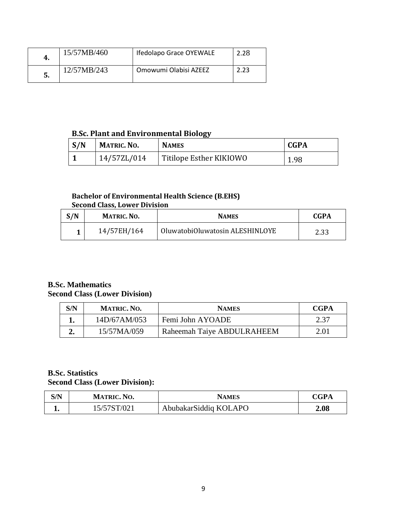| 4. | 15/57MB/460 | Ifedolapo Grace OYEWALE | 2.28 |
|----|-------------|-------------------------|------|
| 5. | 12/57MB/243 | Omowumi Olabisi AZEEZ   |      |

# **B.Sc. Plant and Environmental Biology**

| S/N | <b>MATRIC. NO.</b> | <b>NAMES</b>            | <b>CGPA</b> |
|-----|--------------------|-------------------------|-------------|
|     | 14/57ZL/014        | Titilope Esther KIKIOWO | 1.98        |

#### **Bachelor of Environmental Health Science (B.EHS) Second Class, Lower Division**

| S/N | <b>MATRIC. NO.</b> | <b>NAMES</b>                    | <b>CGPA</b> |
|-----|--------------------|---------------------------------|-------------|
|     | 14/57EH/164        | OluwatobiOluwatosin ALESHINLOYE | 2.33        |

#### **B.Sc. Mathematics Second Class (Lower Division)**

| S/N | <b>MATRIC. NO.</b> | <b>NAMES</b>               | <b>CGPA</b> |
|-----|--------------------|----------------------------|-------------|
|     | 14D/67AM/053       | Femi John AYOADE           | 2.37        |
|     | 15/57MA/059        | Raheemah Taiye ABDULRAHEEM | 2.01        |

## **B.Sc. Statistics Second Class (Lower Division):**

| S/N | <b>MATRIC. NO.</b> | NAMES                 | <b>CGPA</b> |
|-----|--------------------|-----------------------|-------------|
|     | 15/57ST/021        | AbubakarSiddiq KOLAPO | 2.08        |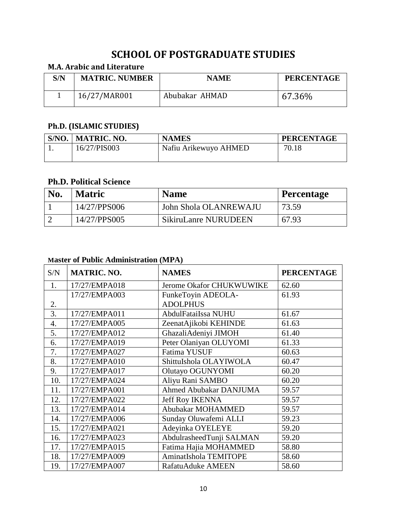# **SCHOOL OF POSTGRADUATE STUDIES**

# **M.A. Arabic and Literature**

| S/N | <b>MATRIC. NUMBER</b> | <b>NAME</b>    | <b>PERCENTAGE</b> |
|-----|-----------------------|----------------|-------------------|
|     | 16/27/MAR001          | Abubakar AHMAD | 67.36%            |

# **Ph.D. (ISLAMIC STUDIES)**

| S/NO. | MATRIC. NO.  | <b>NAMES</b>          | <b>PERCENTAGE</b> |
|-------|--------------|-----------------------|-------------------|
|       | 16/27/PIS003 | Nafiu Arikewuyo AHMED | 70.18             |
|       |              |                       |                   |

### **Ph.D. Political Science**

| No. | <b>Matric</b> | <b>Name</b>           | <b>Percentage</b> |
|-----|---------------|-----------------------|-------------------|
|     | 14/27/PPS006  | John Shola OLANREWAJU | 73.59             |
|     | 14/27/PPS005  | SikiruLanre NURUDEEN  | 67.93             |

# **Master of Public Administration (MPA)**

| S/N              | <b>MATRIC. NO.</b> | <b>NAMES</b>                  | <b>PERCENTAGE</b> |
|------------------|--------------------|-------------------------------|-------------------|
| 1.               | 17/27/EMPA018      | Jerome Okafor CHUKWUWIKE      | 62.60             |
|                  | 17/27/EMPA003      | FunkeToyin ADEOLA-            | 61.93             |
| 2.               |                    | <b>ADOLPHUS</b>               |                   |
| $\overline{3}$ . | 17/27/EMPA011      | AbdulFataiIssa NUHU           | 61.67             |
| 4.               | 17/27/EMPA005      | ZeenatAjikobi KEHINDE         | 61.63             |
| 5.               | 17/27/EMPA012      | GhazaliAdeniyi JIMOH          | 61.40             |
| 6.               | 17/27/EMPA019      | Peter Olaniyan OLUYOMI        | 61.33             |
| 7.               | 17/27/EMPA027      | Fatima YUSUF                  | 60.63             |
| 8.               | 17/27/EMPA010      | ShittuIshola OLAYIWOLA        | 60.47             |
| 9.               | 17/27/EMPA017      | Olutayo OGUNYOMI              | 60.20             |
| 10.              | 17/27/EMPA024      | Aliyu Rani SAMBO              | 60.20             |
| 11.              | 17/27/EMPA001      | <b>Ahmed Abubakar DANJUMA</b> | 59.57             |
| 12.              | 17/27/EMPA022      | <b>Jeff Roy IKENNA</b>        | 59.57             |
| 13.              | 17/27/EMPA014      | Abubakar MOHAMMED             | 59.57             |
| 14.              | 17/27/EMPA006      | Sunday Oluwafemi ALLI         | 59.23             |
| 15.              | 17/27/EMPA021      | Adeyinka OYELEYE              | 59.20             |
| 16.              | 17/27/EMPA023      | AbdulrasheedTunji SALMAN      | 59.20             |
| 17.              | 17/27/EMPA015      | Fatima Hajia MOHAMMED         | 58.80             |
| 18.              | 17/27/EMPA009      | AminatIshola TEMITOPE         | 58.60             |
| 19.              | 17/27/EMPA007      | <b>RafatuAduke AMEEN</b>      | 58.60             |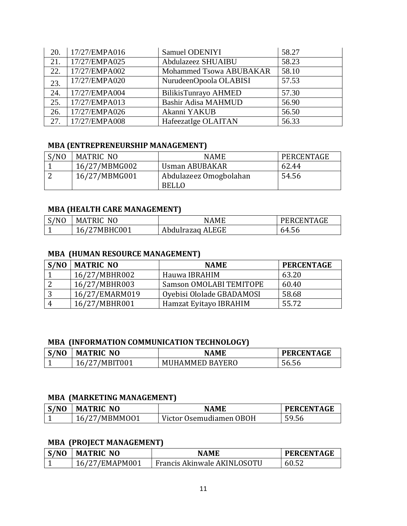| 20. | 17/27/EMPA016 | Samuel ODENIYI          | 58.27 |
|-----|---------------|-------------------------|-------|
| 21. | 17/27/EMPA025 | Abdulazeez SHUAIBU      | 58.23 |
| 22. | 17/27/EMPA002 | Mohammed Tsowa ABUBAKAR | 58.10 |
| 23. | 17/27/EMPA020 | NurudeenOpoola OLABISI  | 57.53 |
| 24. | 17/27/EMPA004 | BilikisTunrayo AHMED    | 57.30 |
| 25. | 17/27/EMPA013 | Bashir Adisa MAHMUD     | 56.90 |
| 26. | 17/27/EMPA026 | Akanni YAKUB            | 56.50 |
| 27. | 17/27/EMPA008 | HafeezatIge OLAITAN     | 56.33 |

## **MBA (ENTREPRENEURSHIP MANAGEMENT)**

| S/NO | MATRIC NO     | <b>NAME</b>            | PERCENTAGE |
|------|---------------|------------------------|------------|
|      | 16/27/MBMG002 | Usman ABUBAKAR         | 62.44      |
|      | 16/27/MBMG001 | Abdulazeez Omogbolahan | 54.56      |
|      |               | <b>BELLO</b>           |            |

# **MBA (HEALTH CARE MANAGEMENT)**

| /NO | N <sub>0</sub><br><b>MATRIC</b> | NAME             | CENTAGE<br>PERI |
|-----|---------------------------------|------------------|-----------------|
|     | 'MBHC001<br>$\mathfrak{h}$      | Abdulrazaq ALEGE | 64.56           |

# **MBA (HUMAN RESOURCE MANAGEMENT)**

| S/NO | <b>MATRIC NO</b> | <b>NAME</b>                    | <b>PERCENTAGE</b> |
|------|------------------|--------------------------------|-------------------|
|      | 16/27/MBHR002    | Hauwa IBRAHIM                  | 63.20             |
|      | 16/27/MBHR003    | <b>Samson OMOLABI TEMITOPE</b> | 60.40             |
| ັ    | 16/27/EMARM019   | Oyebisi Ololade GBADAMOSI      | 58.68             |
|      | 16/27/MBHR001    | Hamzat Eyitayo IBRAHIM         | 55.72             |

# **MBA (INFORMATION COMMUNICATION TECHNOLOGY)**

| S/NO<br>ັ | <b>MATRIC NO</b> | <b>NAME</b>            | <b>PERCENTAGE</b> |
|-----------|------------------|------------------------|-------------------|
|           | /MBIT001<br>16,  | <b>MUHAMMED BAYERO</b> | 56.56             |

#### **MBA (MARKETING MANAGEMENT)**

| S/NO<br>J | <b>MATRIC NO</b> | <b>NAMF</b>             | <b>PERCENTAGE</b> |
|-----------|------------------|-------------------------|-------------------|
|           | 16/27/MBMM001    | Victor Osemudiamen OBOH | 59.56             |

## **MBA (PROJECT MANAGEMENT)**

| S/NO<br>ັ | <b>MATRIC NO</b> | <b>NAMF</b>                 | <b>PERCENTAGE</b> |
|-----------|------------------|-----------------------------|-------------------|
|           | 16/27/EMAPM001   | Francis Akinwale AKINLOSOTU | 60.52             |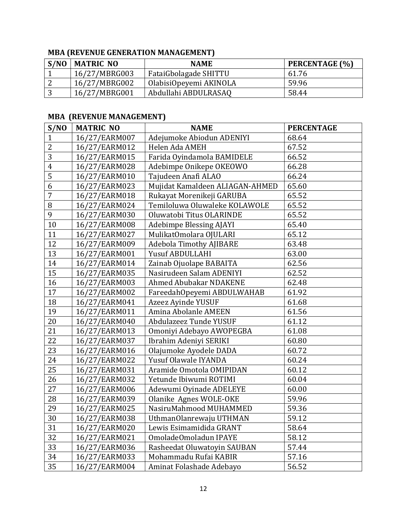# **MBA (REVENUE GENERATION MANAGEMENT)**

| S/NO | <b>MATRIC NO</b> | <b>NAME</b>            | PERCENTAGE (%) |
|------|------------------|------------------------|----------------|
|      | 16/27/MBRG003    | FataiGbolagade SHITTU  | 61.76          |
|      | 16/27/MBRG002    | OlabisiOpeyemi AKINOLA | 59.96          |
|      | 16/27/MBRG001    | Abdullahi ABDULRASAQ   | 58.44          |

# **MBA (REVENUE MANAGEMENT)**

| S/NO           | <b>MATRIC NO</b> | <b>NAME</b>                     | <b>PERCENTAGE</b> |
|----------------|------------------|---------------------------------|-------------------|
| $\mathbf{1}$   | 16/27/EARM007    | Adejumoke Abiodun ADENIYI       | 68.64             |
| $\overline{2}$ | 16/27/EARM012    | Helen Ada AMEH                  | 67.52             |
| 3              | 16/27/EARM015    | Farida Oyindamola BAMIDELE      | 66.52             |
| $\overline{4}$ | 16/27/EARM028    | Adebimpe Onikepe OKEOWO         | 66.28             |
| 5              | 16/27/EARM010    | Tajudeen Anafi ALAO             | 66.24             |
| 6              | 16/27/EARM023    | Mujidat Kamaldeen ALIAGAN-AHMED | 65.60             |
| 7              | 16/27/EARM018    | Rukayat Morenikeji GARUBA       | 65.52             |
| 8              | 16/27/EARM024    | Temiloluwa Oluwaleke KOLAWOLE   | 65.52             |
| 9              | 16/27/EARM030    | Oluwatobi Titus OLARINDE        | 65.52             |
| 10             | 16/27/EARM008    | <b>Adebimpe Blessing AJAYI</b>  | 65.40             |
| 11             | 16/27/EARM027    | MulikatOmolara OJULARI          | 65.12             |
| 12             | 16/27/EARM009    | <b>Adebola Timothy AJIBARE</b>  | 63.48             |
| 13             | 16/27/EARM001    | <b>Yusuf ABDULLAHI</b>          | 63.00             |
| 14             | 16/27/EARM014    | Zainab Ojuolape BABAITA         | 62.56             |
| 15             | 16/27/EARM035    | Nasirudeen Salam ADENIYI        | 62.52             |
| 16             | 16/27/EARM003    | Ahmed Abubakar NDAKENE          | 62.48             |
| 17             | 16/27/EARM002    | FareedahOpeyemi ABDULWAHAB      | 61.92             |
| 18             | 16/27/EARM041    | Azeez Ayinde YUSUF              | 61.68             |
| 19             | 16/27/EARM011    | Amina Abolanle AMEEN            | 61.56             |
| 20             | 16/27/EARM040    | Abdulazeez Tunde YUSUF          | 61.12             |
| 21             | 16/27/EARM013    | Omoniyi Adebayo AWOPEGBA        | 61.08             |
| 22             | 16/27/EARM037    | Ibrahim Adeniyi SERIKI          | 60.80             |
| 23             | 16/27/EARM016    | Olajumoke Ayodele DADA          | 60.72             |
| 24             | 16/27/EARM022    | Yusuf Olawale IYANDA            | 60.24             |
| 25             | 16/27/EARM031    | Aramide Omotola OMIPIDAN        | 60.12             |
| 26             | 16/27/EARM032    | Yetunde Ibiwumi ROTIMI          | 60.04             |
| 27             | 16/27/EARM006    | Adewumi Oyinade ADELEYE         | 60.00             |
| 28             | 16/27/EARM039    | Olanike Agnes WOLE-OKE          | 59.96             |
| 29             | 16/27/EARM025    | NasiruMahmood MUHAMMED          | 59.36             |
| 30             | 16/27/EARM038    | UthmanOlanrewaju UTHMAN         | 59.12             |
| 31             | 16/27/EARM020    | Lewis Esimamidida GRANT         | 58.64             |
| 32             | 16/27/EARM021    | OmoladeOmoladun IPAYE           | 58.12             |
| 33             | 16/27/EARM036    | Rasheedat Oluwatoyin SAUBAN     | 57.44             |
| 34             | 16/27/EARM033    | Mohammadu Rufai KABIR           | 57.16             |
| 35             | 16/27/EARM004    | Aminat Folashade Adebayo        | 56.52             |